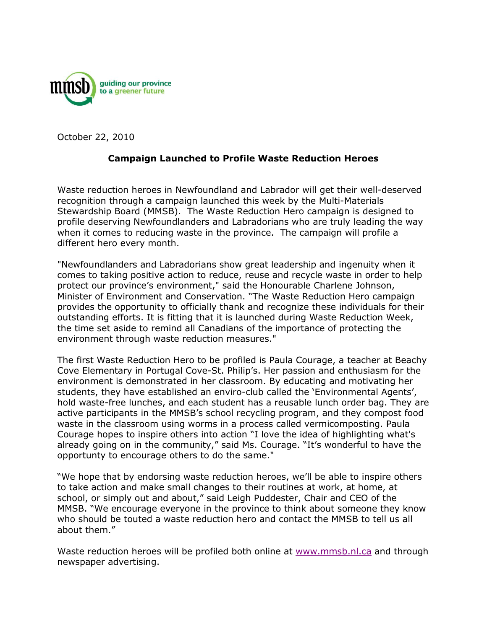

October 22, 2010

## **Campaign Launched to Profile Waste Reduction Heroes**

Waste reduction heroes in Newfoundland and Labrador will get their well-deserved recognition through a campaign launched this week by the Multi-Materials Stewardship Board (MMSB). The Waste Reduction Hero campaign is designed to profile deserving Newfoundlanders and Labradorians who are truly leading the way when it comes to reducing waste in the province. The campaign will profile a different hero every month.

"Newfoundlanders and Labradorians show great leadership and ingenuity when it comes to taking positive action to reduce, reuse and recycle waste in order to help protect our province's environment," said the Honourable Charlene Johnson, Minister of Environment and Conservation. "The Waste Reduction Hero campaign provides the opportunity to officially thank and recognize these individuals for their outstanding efforts. It is fitting that it is launched during Waste Reduction Week, the time set aside to remind all Canadians of the importance of protecting the environment through waste reduction measures."

The first Waste Reduction Hero to be profiled is Paula Courage, a teacher at Beachy Cove Elementary in Portugal Cove-St. Philip"s. Her passion and enthusiasm for the environment is demonstrated in her classroom. By educating and motivating her students, they have established an enviro-club called the "Environmental Agents", hold waste-free lunches, and each student has a reusable lunch order bag. They are active participants in the MMSB"s school recycling program, and they compost food waste in the classroom using worms in a process called vermicomposting. Paula Courage hopes to inspire others into action "I love the idea of highlighting what's already going on in the community," said Ms. Courage. "It"s wonderful to have the opportunty to encourage others to do the same."

"We hope that by endorsing waste reduction heroes, we"ll be able to inspire others to take action and make small changes to their routines at work, at home, at school, or simply out and about," said Leigh Puddester, Chair and CEO of the MMSB. "We encourage everyone in the province to think about someone they know who should be touted a waste reduction hero and contact the MMSB to tell us all about them."

Waste reduction heroes will be profiled both online at [www.mmsb.nl.ca](http://www.mmsb.nl.ca/) and through newspaper advertising.